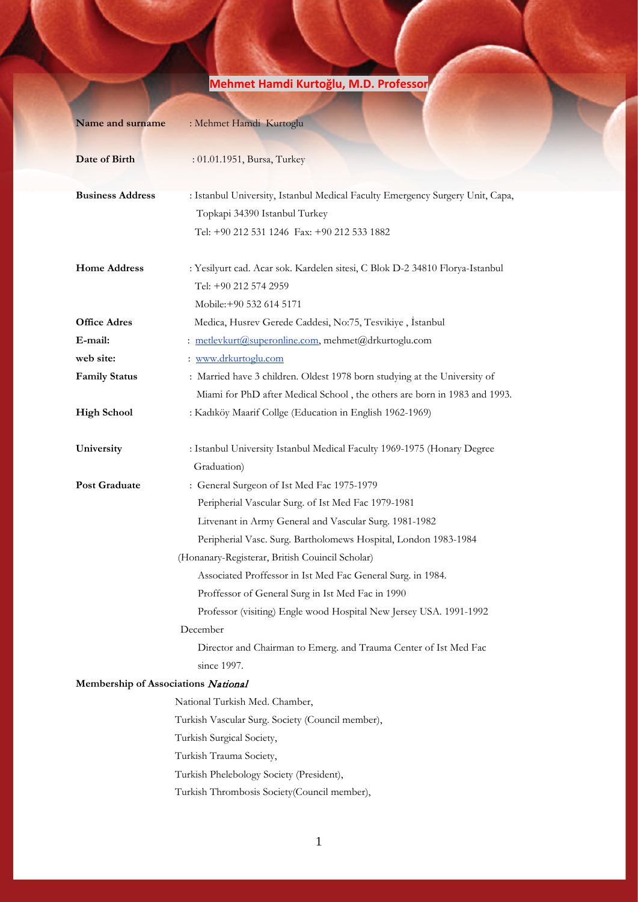# **Name and surname** : Mehmet Hamdi Kurtoglu **Date of Birth** : 01.01.1951, Bursa, Turkey **Business Address** : Istanbul University, Istanbul Medical Faculty Emergency Surgery Unit, Capa, Topkapi 34390 Istanbul Turkey Tel: +90 212 531 1246 Fax: +90 212 533 1882 **Home Address** : Yesilyurt cad. Acar sok. Kardelen sitesi, C Blok D-2 34810 Florya-Istanbul Tel: +90 212 574 2959 Mobile:+90 532 614 5171 **Office Adres** Medica, Husrev Gerede Caddesi, No:75, Tesvikiye, İstanbul **E-mail:** : [metlevkurt@superonline.com,](mailto:metlevkurt@superonline.com) mehmet@drkurtoglu.com **web site:** : [www.drkurtoglu.com](http://www.drkurtoglu.com/) **Family Status** : Married have 3 children. Oldest 1978 born studying at the University of Miami for PhD after Medical School , the others are born in 1983 and 1993. **High School** : Kadıköy Maarif Collge (Education in English 1962-1969) **University** : Istanbul University Istanbul Medical Faculty 1969-1975 (Honary Degree Graduation) **Post Graduate** : General Surgeon of Ist Med Fac 1975-1979 Peripherial Vascular Surg. of Ist Med Fac 1979-1981 Litvenant in Army General and Vascular Surg. 1981-1982 Peripherial Vasc. Surg. Bartholomews Hospital, London 1983-1984 (Honanary-Registerar, British Couincil Scholar) Associated Proffessor in Ist Med Fac General Surg. in 1984. Proffessor of General Surg in Ist Med Fac in 1990 Professor (visiting) Engle wood Hospital New Jersey USA. 1991-1992 December Director and Chairman to Emerg. and Trauma Center of Ist Med Fac since 1997. **Membership of Associations** National National Turkish Med. Chamber, Turkish Vascular Surg. Society (Council member), Turkish Surgical Society, Turkish Trauma Society, Turkish Phelebology Society (President), Turkish Thrombosis Society(Council member),

# **Mehmet Hamdi Kurtoğlu, M.D. Professor**